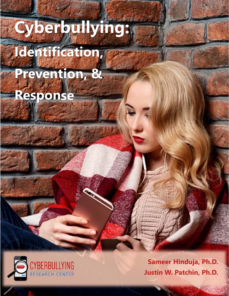# **Cyberbullying: Identification, Prevention, &**

**Response**



**Sameer Hinduja, Ph.D. Justin W. Patchin, Ph.D.** 

1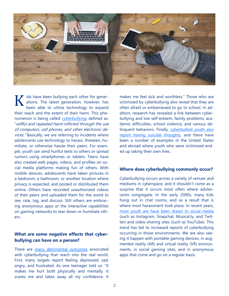

ids have been bullying each other for generations. The latest generation, however, has been able to utilize technology to expand their reach and the extent of their harm. This phenomenon is being called cyberbullying, defined as: "willful and repeated harm inflicted through the use of computers, cell phones, and other electronic devices." Basically, we are referring to incidents where adolescents use technology to harass, threaten, humiliate, or otherwise hassle their peers. For example, youth can send hurtful texts to others or spread rumors using smartphones or tablets. Teens have also created web pages, videos, and profiles on social media platforms making fun of others. With mobile devices, adolescents have taken pictures in a bedroom, a bathroom, or another location where privacy is expected, and posted or distributed them online. Others have recorded unauthorized videos of their peers and uploaded them for the world to see, rate, tag, and discuss. Still others are embracing anonymous apps or the interactive capabilities on gaming networks to tear down or humiliate others. K

# **What are some negative effects that cyberbullying can have on a person?**

There are many detrimental outcomes associated with cyberbullying that reach into the real world. First, many targets report feeling depressed, sad, angry, and frustrated. As one teenager told us: "It makes me hurt both physically and mentally. It scares me and takes away all my confidence. It

makes me feel sick and worthless." Those who are victimized by cyberbullying also reveal that they are often afraid or embarrassed to go to school. In addition, research has revealed a link between cyberbullying and low self-esteem, family problems, academic difficulties, school violence, and various delinquent behaviors. Finally, cyberbullied youth also report having suicidal thoughts, and there have been a number of examples in the United States and abroad where youth who were victimized ended up taking their own lives.

## **Where does cyberbullying commonly occur?**

Cyberbullying occurs across a variety of venues and mediums in cyberspace, and it shouldn't come as a surprise that it occurs most often where adolescents congregate. In the early 2000s, many kids hung out in chat rooms, and as a result that is where most harassment took place. In recent years, most youth are have been drawn to social media (such as Instagram, Snapchat, Musical.ly, and Twitter) and video-sharing sites (such as YouTube). This trend has led to increased reports of cyberbullying occurring in those environments. We are also seeing it happen with portable gaming devices, in augmented reality (AR) and virtual reality (VR) environments, in social gaming sites, and in anonymous apps that come and go on a regular basis.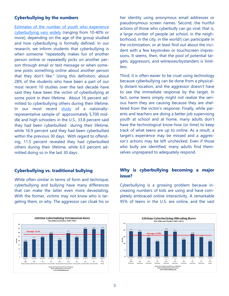## **Cyberbullying by the numbers**

Estimates of the number of youth who experience cyberbullying vary widely (ranging from 10-40% or more), depending on the age of the group studied and how cyberbullying is formally defined. In our research, we inform students that cyberbullying is when someone "repeatedly makes fun of another person online or repeatedly picks on another person through email or text message or when someone posts something online about another person that they don't like." Using this definition, about 28% of the students who have been a part of our most recent 10 studies over the last decade have said they have been the victim of cyberbullying at some point in their lifetime. About 16 percent admitted to cyberbullying others during their lifetime. In our most recent study of a nationallyrepresentative sample of approximately 5,700 middle and high schoolers in the U.S., 33.8 percent said they had been cyberbullied during their lifetime, while 16.9 percent said they had been cyberbullied within the previous 30 days. With regard to offending, 11.5 percent revealed they had cyberbullied others during their lifetime, while 6.0 percent admitted doing so in the last 30 days.

## **Cyberbullying vs. traditional bullying**

While often similar in terms of form and technique, cyberbullying and bullying have many differences that can make the latter even more devastating. With the former, victims may not know who is targeting them, or why. The aggressor can cloak his or



her identity using anonymous email addresses or pseudonymous screen names. Second, the hurtful actions of those who cyberbully can go viral; that is, a large number of people (at school, in the neighborhood, in the city, in the world!) can participate in the victimization, or at least find out about the incident with a few keystrokes or touchscreen impressions. It seems, then, that the pool of potential targets, aggressors, and witnesses/bystanders is limitless.

Third, it is often easier to be cruel using technology because cyberbullying can be done from a physically distant location, and the aggressor doesn't have to see the immediate response by the target. In fact, some teens simply might not realize the serious harm they are causing because they are sheltered from the victim's response. Finally, while parents and teachers are doing a better job supervising youth at school and at home, many adults don't have the technological know-how (or time) to keep track of what teens are up to online. As a result, a target's experience may be missed and a aggressor's actions may be left unchecked. Even if those who bully are identified, many adults find themselves unprepared to adequately respond.

# **Why is cyberbullying becoming a major issue?**

Cyberbullying is a growing problem because increasing numbers of kids are using and have completely embraced online interactivity. A remarkable 95% of teens in the U.S. are online, and the vast

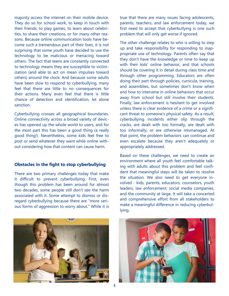majority access the internet on their mobile device. They do so for school work, to keep in touch with their friends, to play games, to learn about celebrities, to share their creations, or for many other reasons. Because online communication tools have become such a tremendous part of their lives, it is not surprising that some youth have decided to use the technology to be malicious or menacing toward others. The fact that teens are constantly connected to technology means they are susceptible to victimization (and able to act on mean impulses toward others) around the clock. And because some adults have been slow to respond to cyberbullying, many feel that there are little to no consequences for their actions. Many even feel that there is little chance of detection and identification, let alone sanction.

Cyberbullying crosses all geographical boundaries. Online connectivity across a broad variety of devices has opened up the whole world to users, and for the most part this has been a good thing (a really good thing!). Nevertheless, some kids feel free to post or send whatever they want while online without considering how that content can cause harm.

## **Obstacles in the fight to stop cyberbullying**

There are two primary challenges today that make it difficult to prevent cyberbullying. First, even though this problem has been around for almost two decades, some people still don't see the harm associated with it. Some attempt to dismiss or disregard cyberbullying because there are "more serious forms of aggression to worry about." While it is



true that there are many issues facing adolescents, parents, teachers, and law enforcement today, we first need to accept that cyberbullying is one such problem that will only get worse if ignored.

The other challenge relates to who is willing to step up and take responsibility for responding to inappropriate use of technology. Parents often say that they don't have the knowledge or time to keep up with their kids' online behavior, and that schools should be covering it in detail during class time and through other programming. Educators are often doing their part through policies, curricula, training, and assemblies, but sometimes don't know when and how to intervene in online behaviors that occur away from school but still involve their students. Finally, law enforcement is hesitant to get involved unless there is clear evidence of a crime or a significant threat to someone's physical safety. As a result, cyberbullying incidents either slip through the cracks, are dealt with too formally, are dealt with too informally, or are otherwise mismanaged. At that point, the problem behaviors can continue and even escalate because they aren't adequately or appropriately addressed.

Based on these challenges, we need to create an environment where all youth feel comfortable talking with adults about this problem and feel confident that meaningful steps will be taken to resolve the situation. We also need to get everyone involved - kids, parents, educators, counselors, youth leaders, law enforcement, social media companies, and the community at large. It will take a concerted and comprehensive effort from all stakeholders to make a meaningful difference in reducing cyberbullying.

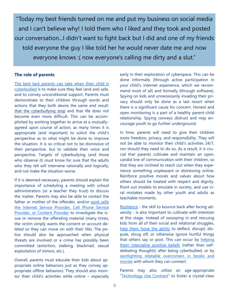"Today my best friends turned on me and put my business on social media and I can't believe why! I told them who I liked and they took and posted our conversation...I didn't want to fight back but I did and one of my friends told everyone the guy I like told her he would never date me and now everyone knows :( now everyone's calling me dirty and a slut."

# **The role of parents**

The best tack parents can take when their child is cyberbullied is to make sure they feel (and are) safe, and to convey unconditional support. Parents must demonstrate to their children through words and actions that they both desire the same end result: that the cyberbullying stop and that life does not become even more difficult. This can be accomplished by working together to arrive at a mutuallyagreed upon course of action, as many times it is appropriate (and important) to solicit the child's perspective as to what might be done to improve the situation. It is so critical not to be dismissive of their perspective, but to validate their voice and perspective. Targets of cyberbullying (and those who observe it) must know for sure that the adults who they tell will intervene rationally and logically, and not make the situation worse.

If it is deemed necessary, parents should explain the importance of scheduling a meeting with school administrators (or a teacher they trust) to discuss the matter. Parents may also be able to contact the father or mother of the offender, and/or work with the Internet Service Provider, Cell Phone Service Provider, or Content Provider to investigate the issue or remove the offending material (many times, the victim simply wants the content or account deleted so they can move on with their life). The police should also be approached when physical threats are involved or a crime has possibly been committed (extortion, stalking, blackmail, sexual exploitation of minors, etc.).

Overall, parents must educate their kids about appropriate online behaviors just as they convey appropriate offline behaviors. They should also monitor their child's activities while online – especially

early in their exploration of cyberspace. This can be done informally (through active participation in your child's internet experience, which we recommend most of all) and formally (through software). Spying on kids and unnecessarily invading their privacy should only be done as a last resort when there is a significant cause for concern. Honest and open monitoring is a part of a healthy parent-child relationship. Spying conveys distrust and may encourage youth to go further underground.

In time, parents will need to give their children more freedom, privacy, and responsibility. They will not be able to monitor their child's activities 24/7, nor should they need to do so. As a result, it is crucial that parents cultivate and maintain an open, candid line of communication with their children, so that they are inclined to reach out when they experience something unpleasant or distressing online. Reinforce positive morals and values about how others should be treated with respect and dignity. Point out models to emulate in society, and use viral mistakes made by other youth and adults as teachable moments.

Resilience - the skill to bounce back after facing adversity - is also important to cultivate with intention at this stage. Instead of swooping in and rescuing kids from all of their social and relational struggles, help them hone the ability to deflect, disrupt, dispute, shrug off, or otherwise ignore hurtful things that others say or post. This can occur by helping them internalize positive beliefs (rather than selfdefeating thoughts) after being cyberbullied, or by spotlighting relatable overcomers in books and movies with whom they can connect.

Parents may also utilize an age-appropriate "Technology Use Contract" to foster a crystal-clear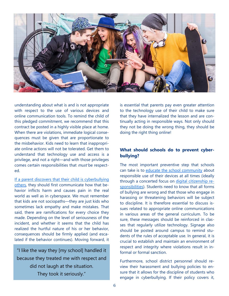

understanding about what is and is not appropriate with respect to the use of various devices and online communication tools. To remind the child of this pledged commitment, we recommend that this contract be posted in a highly visible place at home. When there are violations, immediate logical consequences must be given that are proportionate to the misbehavior. Kids need to learn that inappropriate online actions will not be tolerated. Get them to understand that technology use and access is a privilege, and not a right—and with those privileges comes certain responsibilities that *must* be respected.

If a parent discovers that their child is cyberbullying others, they should first communicate how that behavior inflicts harm and causes pain in the real world as well as in cyberspace. We must remember that kids are not sociopaths—they are just kids who sometimes lack empathy and make mistakes. That said, there are ramifications for every choice they made. Depending on the level of seriousness of the incident, and whether it seems that the child has realized the hurtful nature of his or her behavior, consequences should be firmly applied (and escalated if the behavior continues). Moving forward, it

"I like the way they [my school] handled it because they treated me with respect and did not laugh at the situation. They took it seriously."

is essential that parents pay even greater attention to the technology use of their child to make sure that they have internalized the lesson and are continually acting in responsible ways. Not only should they not be doing the wrong thing, they should be doing the right thing online!

## **What should schools do to prevent cyberbullying?**

The most important preventive step that schools can take is to educate the school community about responsible use of their devices at all times (ideally through a concerted focus on digital citizenship responsibilities). Students need to know that all forms of bullying are wrong and that those who engage in harassing or threatening behaviors will be subject to discipline. It is therefore essential to discuss issues related to appropriate online communications in various areas of the general curriculum. To be sure, these messages should be reinforced in classes that regularly utilize technology. Signage also should be posted around campus to remind students of the rules of acceptable use. In general, it is crucial to establish and maintain an environment of respect and integrity where violations result in informal or formal sanction.

Furthermore, school district personnel should review their harassment and bullying policies to ensure that it allows for the discipline of students who engage in cyberbullying. If their policy covers it,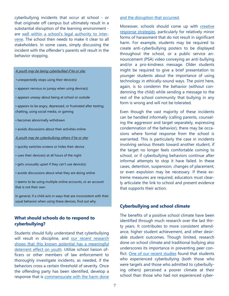cyberbullying incidents that occur at school - or that originate off campus but ultimately result in a substantial disruption of the learning environment are well within a school's legal authority to intervene. The school then needs to make it clear to all stakeholders. In some cases, simply discussing the incident with the offender's parents will result in the behavior stopping.

#### A youth may be being cyberbullied if he or she:

- unexpectedly stops using their device(s)
- appears nervous or jumpy when using device(s)
- appears uneasy about being at school or outside
- appears to be angry, depressed, or frustrated after texting, chatting, using social media, or gaming
- becomes abnormally withdrawn
- avoids discussions about their activities online
- A youth may be cyberbullying others if he or she:
- quickly switches screens or hides their device
- uses their device(s) at all hours of the night
- gets unusually upset if they can't use device(s)
- avoids discussions about what they are doing online
- seems to be using multiple online accounts, or an account that is not their own

In general, if a child acts in ways that are inconsistent with their usual behavior when using these devices, find out why.

# **What should schools do to respond to cyberbullying?**

Students should fully understand that cyberbullying will result in discipline, and our recent research shows that this known potential has a meaningful deterrent effect on youth. Utilize school liaison officers or other members of law enforcement to thoroughly investigate incidents, as needed, if the behaviors cross a certain threshold of severity. Once the offending party has been identified, develop a response that is commensurate with the harm done

#### and the disruption that occurred.

Moreover, schools should come up with creative response strategies, particularly for relatively minor forms of harassment that do not result in significant harm. For example, students may be required to create anti-cyberbullying posters to be displayed throughout the school, or a public service announcement (PSA) video conveying an anti-bullying and/or a pro-kindness message. Older students might be required to give a brief presentation to younger students about the importance of using technology in ethically-sound ways. The point here, again, is to condemn the behavior (without condemning the child) while sending a message to the rest of the school community that bullying in any form is wrong and will not be tolerated.

Even though the vast majority of these incidents can be handled informally (calling parents, counseling the aggressor and target separately, expressing condemnation of the behavior), there may be occasions where formal response from the school is warranted. This is particularly the case in incidents involving serious threats toward another student, if the target no longer feels comfortable coming to school, or if cyberbullying behaviors continue after informal attempts to stop it have failed. In these cases, detention, suspension, changes of placement, or even expulsion may be necessary. If these extreme measures are required, educators must clearly articulate the link to school and present evidence that supports their action.

## **Cyberbullying and school climate**

The benefits of a positive school climate have been identified through much research over the last thirty years. It contributes to more consistent attendance, higher student achievement, and other desirable student outcomes. Though limited, research done on school climate and traditional bullying also underscores its importance in preventing peer conflict. One of our recent studies found that students who experienced cyberbullying (both those who were targets and those who admitted to cyberbullying others) perceived a poorer climate at their school than those who had not experienced cyber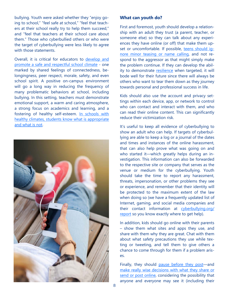bullying. Youth were asked whether they "enjoy going to school," "feel safe at school," "feel that teachers at their school really try to help them succeed," and "feel that teachers at their school care about them." Those who cyberbullied others or who were the target of cyberbullying were less likely to agree with those statements.

Overall, it is critical for educators to develop and promote a safe and respectful school climate - one marked by shared feelings of connectedness, belongingness, peer respect, morale, safety, and even school spirit. A positive on-campus environment will go a long way in reducing the frequency of many problematic behaviors at school, including bullying. In this setting, teachers must demonstrate emotional support, a warm and caring atmosphere, a strong focus on academics and learning, and a fostering of healthy self-esteem. In schools with healthy climates, students know what is appropriate and what is not.



## **What can youth do?**

First and foremost, youth should develop a relationship with an adult they trust (a parent, teacher, or someone else) so they can talk about any experiences they have online (or off) that make them upset or uncomfortable. If possible, teens should ignore minor teasing or name calling, and not respond to the aggressor as that might simply make the problem continue. If they can develop the ability to demonstrate resilience when targeted, it will bode well for their future since there will always be others who want to tear them down as they journey towards personal and professional success in life.

Kids should also use the account and privacy settings within each device, app, or network to control who can contact and interact with them, and who can read their online content. This can significantly reduce their victimization risk.

It's useful to keep all evidence of cyberbullying to show an adult who can help. If targets of cyberbullying are able to keep a log or a journal of the dates and times and instances of the online harassment, that can also help prove what was going on and who started it—which greatly helps during an investigation. This information can also be forwarded to the respective site or company that serves as the venue or medium for the cyberbullying. Youth should take the time to report any harassment, threats, impersonation, or other problems they see or experience, and remember that their identity will be protected to the maximum extent of the law when doing so (we have a frequently updated list of Internet, gaming, and social media companies and their contact information at cyberbullying.org/ report so you know exactly where to get help).

In addition, kids should go online with their parents – show them what sites and apps they use, and share with them why they are great. Chat with them about what safety precautions they use while texting or tweeting, and tell them to give others a chance to come through for them if a problem arises.

Finally, they should pause before they post-and make really wise decisions with what they share or send or post online, considering the possibility that anyone and everyone may see it (including their